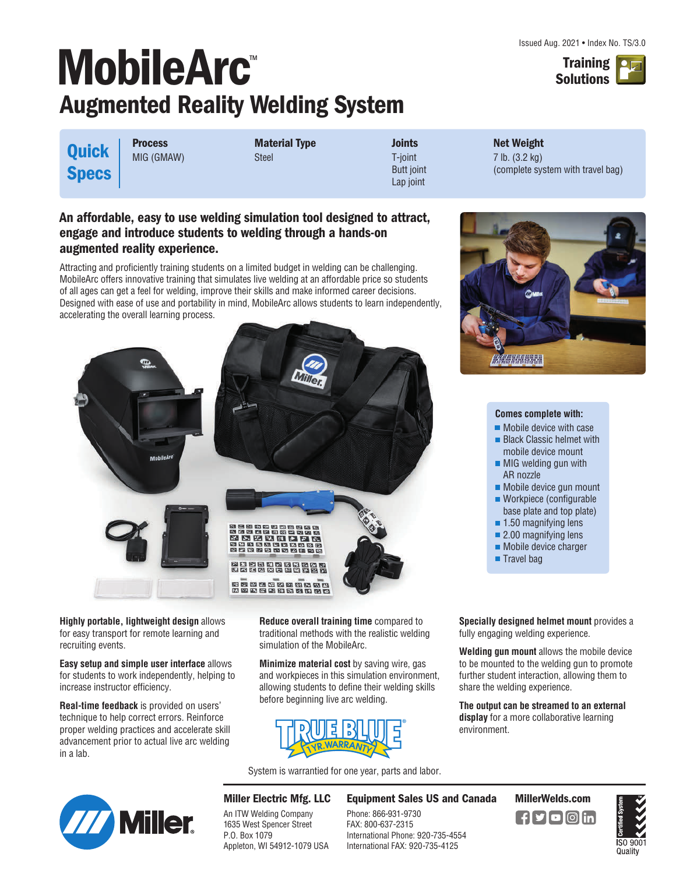

# **MobileArc** ™ **Augmented Reality Welding System**

**Quick Specs** **Process** MIG (GMAW) **Material Type** Steel

**Joints** T-joint Butt joint Lap joint

**Net Weight** 7 lb. (3.2 kg) (complete system with travel bag)

### **An affordable, easy to use welding simulation tool designed to attract, engage and introduce students to welding through a hands-on augmented reality experience.**

Attracting and proficiently training students on a limited budget in welding can be challenging. MobileArc offers innovative training that simulates live welding at an affordable price so students of all ages can get a feel for welding, improve their skills and make informed career decisions. Designed with ease of use and portability in mind, MobileArc allows students to learn independently, accelerating the overall learning process.



**Highly portable, lightweight design** allows for easy transport for remote learning and recruiting events.

**Easy setup and simple user interface** allows for students to work independently, helping to increase instructor efficiency.

**Real-time feedback** is provided on users' technique to help correct errors. Reinforce proper welding practices and accelerate skill advancement prior to actual live arc welding in a lab.

**Reduce overall training time** compared to traditional methods with the realistic welding simulation of the MobileArc.

**Minimize material cost** by saving wire, gas and workpieces in this simulation environment, allowing students to define their welding skills before beginning live arc welding.



System is warrantied for one year, parts and labor.

An ITW Welding Company 1635 West Spencer Street

Appleton, WI 54912-1079 USA

P.O. Box 1079



**Equipment Sales US and Canada MillerWelds.com**

FAX: 800-637-2315 International Phone: 920-735-4554 International FAX: 920-735-4125



#### **Comes complete with:**

- **Mobile device with case**
- **Black Classic helmet with** mobile device mount
- **MIG** welding gun with AR nozzle
- Mobile device gun mount
- Workpiece (configurable base plate and top plate)
- 1.50 magnifying lens
- 2.00 magnifying lens
- **Mobile device charger**
- **Travel bag**

**Specially designed helmet mount** provides a fully engaging welding experience.

**Welding gun mount** allows the mobile device to be mounted to the welding gun to promote further student interaction, allowing them to share the welding experience.

**The output can be streamed to an external display** for a more collaborative learning environment.

 $\blacksquare$ f $\square$ f $\square$ o $\square$ in



**Miller Electric Mfg. LLC** Phone: 866-931-9730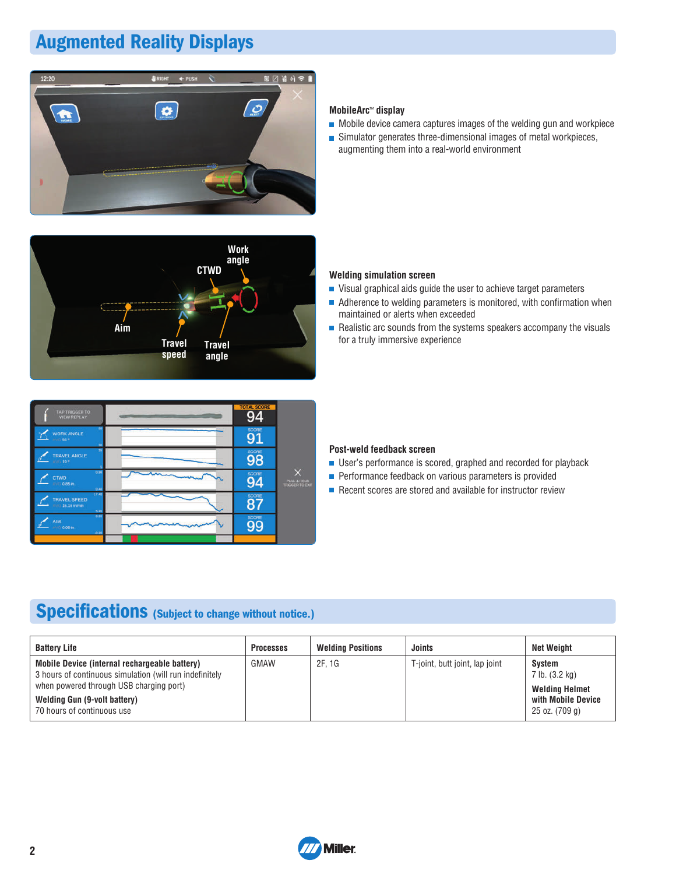# **Augmented Reality Displays**





| <b>TAP TRIGGER TO</b><br><b>VIEW REPLAY</b>              | <b>TOTAL SCORE</b> |                                       |
|----------------------------------------------------------|--------------------|---------------------------------------|
| 60<br><b>WORK ANGLE</b><br>AVG 56°<br>30                 | SCORE<br>91        |                                       |
| ×<br><b>TRAVEL ANGLE</b><br>AVIL 197                     | SCORE<br>98        |                                       |
| 0.96<br>CTWD<br>$7.77 - 0.85$ m.<br>0.46                 | SCORE<br>94        | PULL & HOLD<br><b>TRIGGER TO EXIT</b> |
| 17.40<br><b>TRAVEL SPEED</b><br>AVG 15.16 in/min<br>5.40 | SCORE<br>8         |                                       |
| 0.20<br>AIM<br><b>AVIC: 0.00 in.</b><br>$-0.20$          | SCORE<br>99        |                                       |
|                                                          |                    |                                       |

#### **MobileArc**™ **display**

- $\blacksquare$  Mobile device camera captures images of the welding gun and workpiece
- Simulator generates three-dimensional images of metal workpieces, augmenting them into a real-world environment

#### **Welding simulation screen**

- Visual graphical aids guide the user to achieve target parameters
- $\blacksquare$  Adherence to welding parameters is monitored, with confirmation when maintained or alerts when exceeded
- $\blacksquare$  Realistic arc sounds from the systems speakers accompany the visuals for a truly immersive experience

#### **Post-weld feedback screen**

- User's performance is scored, graphed and recorded for playback
- **Performance feedback on various parameters is provided**
- $\blacksquare$  Recent scores are stored and available for instructor review

### **Specifications (Subject to change without notice.)**

| <b>Battery Life</b>                                                                                      | <b>Processes</b> | <b>Welding Positions</b> | Joints                         | Net Weiaht                                  |
|----------------------------------------------------------------------------------------------------------|------------------|--------------------------|--------------------------------|---------------------------------------------|
| Mobile Device (internal rechargeable battery)<br>3 hours of continuous simulation (will run indefinitely | <b>GMAW</b>      | 2F. 1G                   | T-joint, butt joint, lap joint | Svstem<br>7 lb. (3.2 kg)                    |
| when powered through USB charging port)<br>Welding Gun (9-volt battery)                                  |                  |                          |                                | <b>Welding Helmet</b><br>with Mobile Device |
| 70 hours of continuous use                                                                               |                  |                          |                                | 25 oz. (709 g)                              |

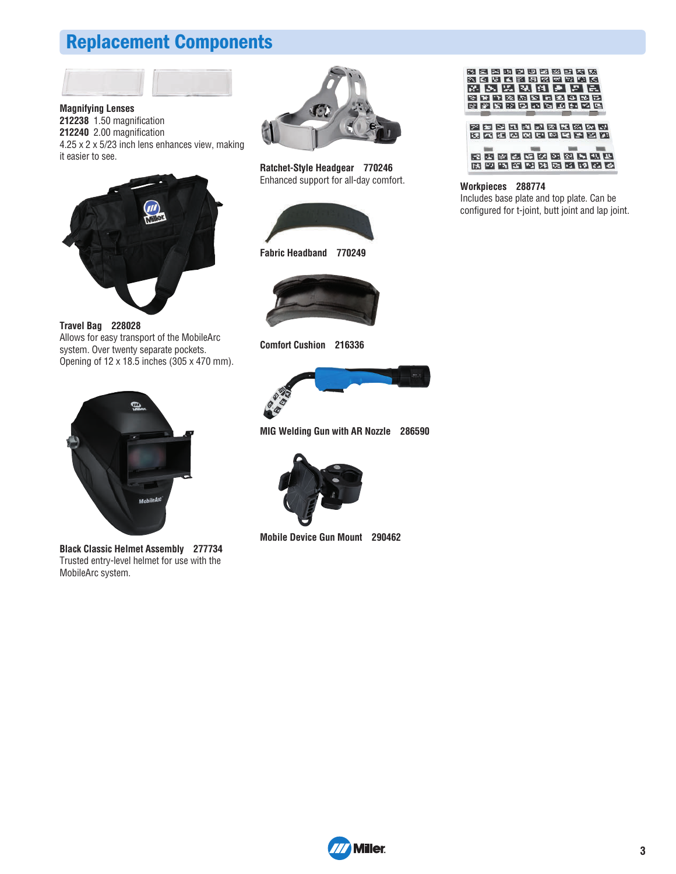### **Replacement Components**



**Magnifying Lenses 212238** 1.50 magnification **212240** 2.00 magnification 4.25 x 2 x 5/23 inch lens enhances view, making it easier to see.



**Travel Bag 228028** Allows for easy transport of the MobileArc system. Over twenty separate pockets. Opening of 12 x 18.5 inches (305 x 470 mm).



**Black Classic Helmet Assembly 277734** Trusted entry-level helmet for use with the MobileArc system.



**Ratchet-Style Headgear 770246** Enhanced support for all-day comfort.





**Comfort Cushion 216336**



**MIG Welding Gun with AR Nozzle 286590**



**Mobile Device Gun Mount 290462**





#### **Workpieces 288774**

Includes base plate and top plate. Can be configured for t-joint, butt joint and lap joint.